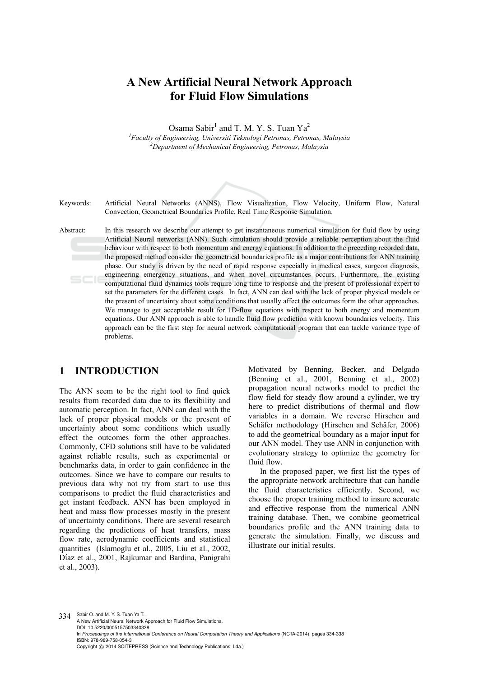# **A New Artificial Neural Network Approach for Fluid Flow Simulations**

Osama Sabir<sup>1</sup> and T. M. Y. S. Tuan Ya<sup>2</sup>

<sup>1</sup> Faculty of Engineering, Universiti Teknologi Petronas, Petronas, Malaysia <sup>2</sup> Dengutment of Maghanical Engineering, Petronas, Malaysia *Department of Mechanical Engineering, Petronas, Malaysia* 



Keywords: Artificial Neural Networks (ANNS), Flow Visualization, Flow Velocity, Uniform Flow, Natural Convection, Geometrical Boundaries Profile, Real Time Response Simulation.

Abstract: In this research we describe our attempt to get instantaneous numerical simulation for fluid flow by using Artificial Neural networks (ANN). Such simulation should provide a reliable perception about the fluid behaviour with respect to both momentum and energy equations. In addition to the preceding recorded data, the proposed method consider the geometrical boundaries profile as a major contributions for ANN training phase. Our study is driven by the need of rapid response especially in medical cases, surgeon diagnosis, engineering emergency situations, and when novel circumstances occurs. Furthermore, the existing  $5C$ computational fluid dynamics tools require long time to response and the present of professional expert to set the parameters for the different cases. In fact, ANN can deal with the lack of proper physical models or the present of uncertainty about some conditions that usually affect the outcomes form the other approaches. We manage to get acceptable result for 1D-flow equations with respect to both energy and momentum equations. Our ANN approach is able to handle fluid flow prediction with known boundaries velocity. This approach can be the first step for neural network computational program that can tackle variance type of problems.

# **1 INTRODUCTION**

The ANN seem to be the right tool to find quick results from recorded data due to its flexibility and automatic perception. In fact, ANN can deal with the lack of proper physical models or the present of uncertainty about some conditions which usually effect the outcomes form the other approaches. Commonly, CFD solutions still have to be validated against reliable results, such as experimental or benchmarks data, in order to gain confidence in the outcomes. Since we have to compare our results to previous data why not try from start to use this comparisons to predict the fluid characteristics and get instant feedback. ANN has been employed in heat and mass flow processes mostly in the present of uncertainty conditions. There are several research regarding the predictions of heat transfers, mass flow rate, aerodynamic coefficients and statistical quantities (Islamoglu et al., 2005, Liu et al., 2002, Díaz et al., 2001, Rajkumar and Bardina, Panigrahi et al., 2003).

Motivated by Benning, Becker, and Delgado (Benning et al., 2001, Benning et al., 2002) propagation neural networks model to predict the flow field for steady flow around a cylinder, we try here to predict distributions of thermal and flow variables in a domain. We reverse Hirschen and Schäfer methodology (Hirschen and Schäfer, 2006) to add the geometrical boundary as a major input for our ANN model. They use ANN in conjunction with evolutionary strategy to optimize the geometry for fluid flow.

In the proposed paper, we first list the types of the appropriate network architecture that can handle the fluid characteristics efficiently. Second, we choose the proper training method to insure accurate and effective response from the numerical ANN training database. Then, we combine geometrical boundaries profile and the ANN training data to generate the simulation. Finally, we discuss and illustrate our initial results.

334 Sabir O. and M. Y. S. Tuan Ya T.. A New Artificial Neural Network Approach for Fluid Flow Simulations. DOI: 10.5220/0005157503340338 In *Proceedings of the International Conference on Neural Computation Theory and Applications* (NCTA-2014), pages 334-338 ISBN: 978-989-758-054-3 Copyright © 2014 SCITEPRESS (Science and Technology Publications, Lda.)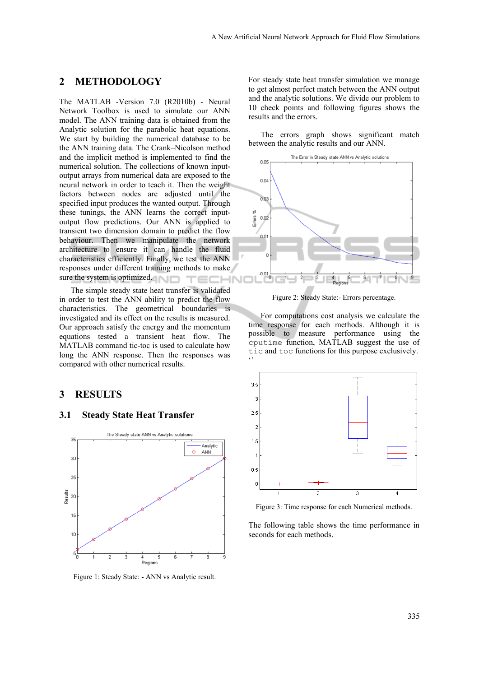## **2 METHODOLOGY**

The MATLAB -Version 7.0 (R2010b) - Neural Network Toolbox is used to simulate our ANN model. The ANN training data is obtained from the Analytic solution for the parabolic heat equations. We start by building the numerical database to be the ANN training data. The Crank–Nicolson method and the implicit method is implemented to find the numerical solution. The collections of known inputoutput arrays from numerical data are exposed to the neural network in order to teach it. Then the weight factors between nodes are adjusted until the specified input produces the wanted output. Through these tunings, the ANN learns the correct inputoutput flow predictions. Our ANN is applied to transient two dimension domain to predict the flow behaviour. Then we manipulate the network architecture to ensure it can handle the fluid characteristics efficiently. Finally, we test the ANN responses under different training methods to make sure the system is optimized.

The simple steady state heat transfer is validated in order to test the ANN ability to predict the flow characteristics. The geometrical boundaries is investigated and its effect on the results is measured. Our approach satisfy the energy and the momentum equations tested a transient heat flow. The MATLAB command tic-toc is used to calculate how long the ANN response. Then the responses was compared with other numerical results.

## **3 RESULTS**

### **3.1 Steady State Heat Transfer**



Figure 1: Steady State: - ANN vs Analytic result.

For steady state heat transfer simulation we manage to get almost perfect match between the ANN output and the analytic solutions. We divide our problem to 10 check points and following figures shows the results and the errors.

The errors graph shows significant match between the analytic results and our ANN.



Figure 2: Steady State:- Errors percentage.

For computations cost analysis we calculate the time response for each methods. Although it is possible to measure performance using the cputime function, MATLAB suggest the use of tic and toc functions for this purpose exclusively.  $\ddot{\phantom{0}}$ 



Figure 3: Time response for each Numerical methods.

The following table shows the time performance in seconds for each methods.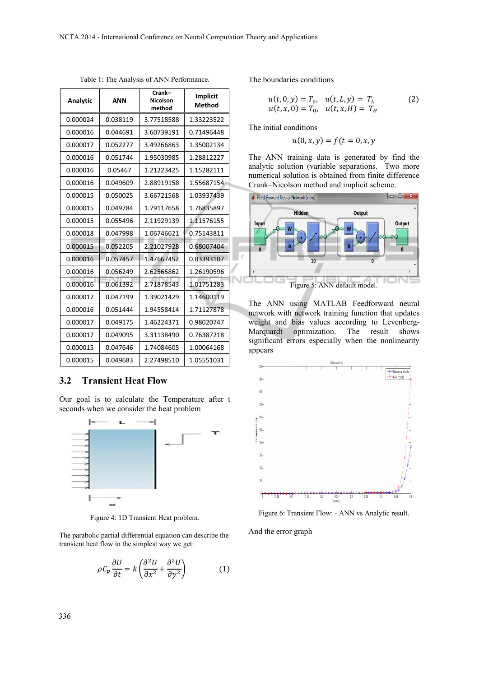| Analytic | <b>ANN</b> | Crank-<br><b>Nicolson</b><br>method | <b>Implicit</b><br>Method |
|----------|------------|-------------------------------------|---------------------------|
| 0.000024 | 0.038119   | 3.77518588                          | 1.33223522                |
| 0.000016 | 0.044691   | 3.60739191                          | 0.71496448                |
| 0.000017 | 0.052277   | 3.49266863                          | 1.35002134                |
| 0.000016 | 0.051744   | 1.95030985                          | 1.28812227                |
| 0.000016 | 0.05467    | 1.21223425                          | 1.15282111                |
| 0.000016 | 0.049609   | 2.88919158                          | 1.55687154                |
| 0.000015 | 0.050025   | 3.66721568                          | 1.03937439                |
| 0.000015 | 0.049784   | 1.79117658                          | 1.76835897                |
| 0.000015 | 0.055496   | 2.11929139                          | 1.11576155                |
| 0.000018 | 0.047998   | 1.06746621                          | 0.75143811                |
| 0.000015 | 0.052205   | 2.21027928                          | 0.68007404                |
| 0.000016 | 0.057457   | 1.47667452                          | 0.83393107                |
| 0.000016 | 0.056249   | 2.62565862                          | 1.26190596                |
| 0.000016 | 0.061392   | 2.71878543                          | 1.01751283                |
| 0.000017 | 0.047199   | 1.39021429                          | 1.14600119                |
| 0.000016 | 0.051444   | 1.94558414                          | 1.71127878                |
| 0.000017 | 0.049175   | 1.46224371                          | 0.98020747                |
| 0.000017 | 0.049095   | 3.31138490                          | 0.76387218                |
| 0.000015 | 0.047646   | 1.74084605                          | 1.00064168                |
| 0.000015 | 0.049683   | 2.27498510                          | 1.05551031                |

Table 1: The Analysis of ANN Performance.

#### **3.2 Transient Heat Flow**

Our goal is to calculate the Temperature after t seconds when we consider the heat problem



Figure 4: 1D Transient Heat problem.

The parabolic partial differential equation can describe the transient heat flow in the simplest way we get:

$$
\rho C_p \frac{\partial U}{\partial t} = k \left( \frac{\partial^2 U}{\partial x^2} + \frac{\partial^2 U}{\partial y^2} \right) \tag{1}
$$

The boundaries conditions

$$
u(t, 0, y) = T_0, \quad u(t, L, y) = T_L
$$
  
\n
$$
u(t, x, 0) = T_0, \quad u(t, x, H) = T_H
$$
\n(2)

The initial conditions

$$
u(0,x,y)=f(t=0,x,y)
$$

The ANN training data is generated by find the analytic solution (variable separations. Two more numerical solution is obtained from finite difference Crank–Nicolson method and implicit scheme.



The ANN using MATLAB Feedforward neural network with network training function that updates weight and bias values according to Levenberg-Marquardt optimization. The result shows significant errors especially when the nonlinearity appears



Figure 6: Transient Flow: - ANN vs Analytic result.

And the error graph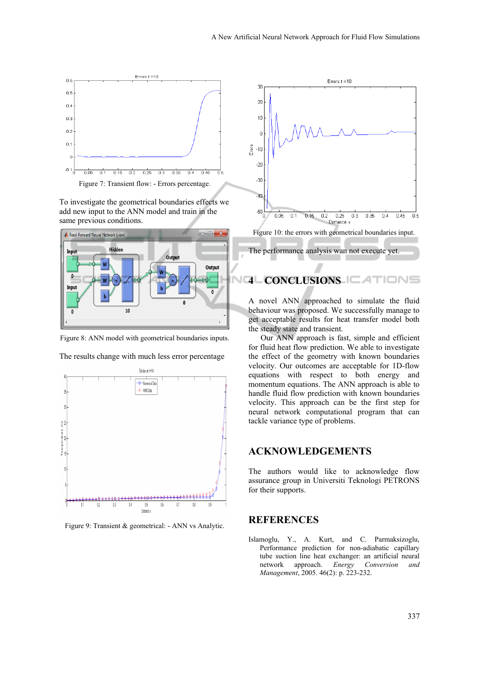

To investigate the geometrical boundaries effects we add new input to the ANN model and train in the same previous conditions.



Figure 8: ANN model with geometrical boundaries inputs.



The results change with much less error percentage

Figure 9: Transient & geometrical: - ANN vs Analytic.



#### **4 CONCLUSIONS**  IONS

A novel ANN approached to simulate the fluid behaviour was proposed. We successfully manage to get acceptable results for heat transfer model both the steady state and transient.

Our ANN approach is fast, simple and efficient for fluid heat flow prediction. We able to investigate the effect of the geometry with known boundaries velocity. Our outcomes are acceptable for 1D-flow equations with respect to both energy and momentum equations. The ANN approach is able to handle fluid flow prediction with known boundaries velocity. This approach can be the first step for neural network computational program that can tackle variance type of problems.

## **ACKNOWLEDGEMENTS**

The authors would like to acknowledge flow assurance group in Universiti Teknologi PETRONS for their supports.

# **REFERENCES**

Islamoglu, Y., A. Kurt, and C. Parmaksizoglu, Performance prediction for non-adiabatic capillary tube suction line heat exchanger: an artificial neural network approach. *Energy Conversion and Management*, 2005. 46(2): p. 223-232.